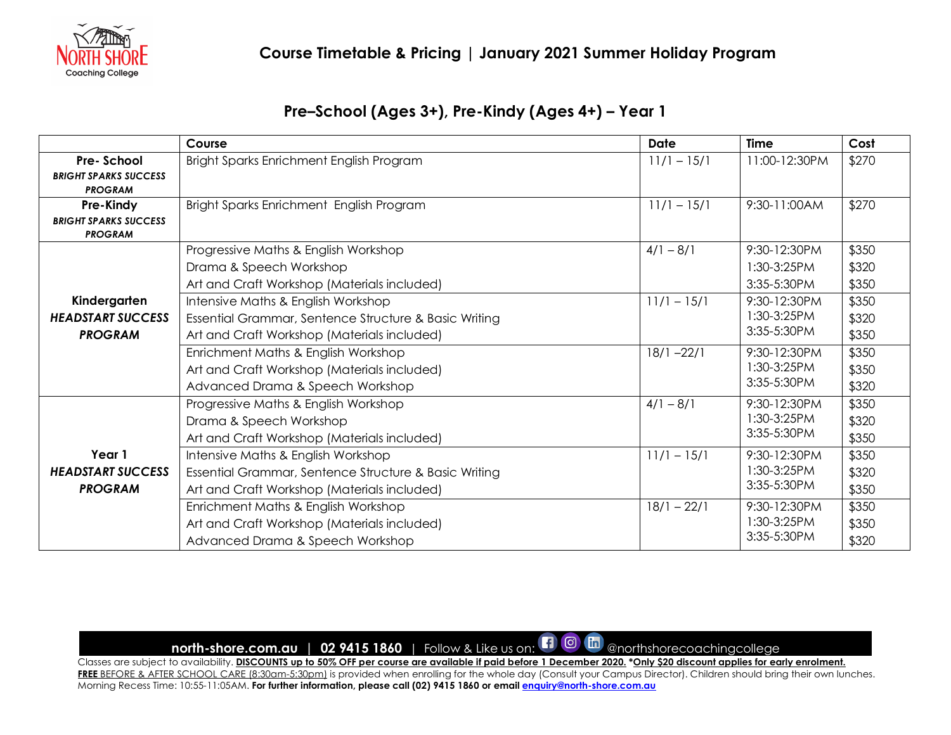

## **Pre–School (Ages 3+), Pre-Kindy (Ages 4+) – Year 1**

|                              | Course                                                | <b>Date</b>   | <b>Time</b>   | Cost  |
|------------------------------|-------------------------------------------------------|---------------|---------------|-------|
| Pre-School                   | Bright Sparks Enrichment English Program              | $11/1 - 15/1$ | 11:00-12:30PM | \$270 |
| <b>BRIGHT SPARKS SUCCESS</b> |                                                       |               |               |       |
| <b>PROGRAM</b>               |                                                       |               |               |       |
| Pre-Kindy                    | Bright Sparks Enrichment English Program              | $11/1 - 15/1$ | 9:30-11:00AM  | \$270 |
| <b>BRIGHT SPARKS SUCCESS</b> |                                                       |               |               |       |
| <b>PROGRAM</b>               |                                                       |               |               |       |
|                              | Progressive Maths & English Workshop                  | $4/1 - 8/1$   | 9:30-12:30PM  | \$350 |
|                              | Drama & Speech Workshop                               |               | 1:30-3:25PM   | \$320 |
|                              | Art and Craft Workshop (Materials included)           |               | 3:35-5:30PM   | \$350 |
| Kindergarten                 | Intensive Maths & English Workshop                    | $11/1 - 15/1$ | 9:30-12:30PM  | \$350 |
| <b>HEADSTART SUCCESS</b>     | Essential Grammar, Sentence Structure & Basic Writing |               | 1:30-3:25PM   | \$320 |
| <b>PROGRAM</b>               | Art and Craft Workshop (Materials included)           |               | 3:35-5:30PM   | \$350 |
|                              | Enrichment Maths & English Workshop                   | $18/1 - 22/1$ | 9:30-12:30PM  | \$350 |
|                              | Art and Craft Workshop (Materials included)           |               | 1:30-3:25PM   | \$350 |
|                              | Advanced Drama & Speech Workshop                      |               | 3:35-5:30PM   | \$320 |
|                              | Progressive Maths & English Workshop                  | $4/1 - 8/1$   | 9:30-12:30PM  | \$350 |
|                              | Drama & Speech Workshop                               |               | 1:30-3:25PM   | \$320 |
|                              | Art and Craft Workshop (Materials included)           |               | 3:35-5:30PM   | \$350 |
| Year 1                       | Intensive Maths & English Workshop                    | $11/1 - 15/1$ | 9:30-12:30PM  | \$350 |
| <b>HEADSTART SUCCESS</b>     | Essential Grammar, Sentence Structure & Basic Writing |               | 1:30-3:25PM   | \$320 |
| <b>PROGRAM</b>               | Art and Craft Workshop (Materials included)           |               | 3:35-5:30PM   | \$350 |
|                              | Enrichment Maths & English Workshop                   | $18/1 - 22/1$ | 9:30-12:30PM  | \$350 |
|                              | Art and Craft Workshop (Materials included)           |               | 1:30-3:25PM   | \$350 |
|                              | Advanced Drama & Speech Workshop                      |               | 3:35-5:30PM   | \$320 |

# **north-shore.com.au** | 02 9415 1860 | Follow & Like us on: **[1] @ follo** @northshorecoachingcollege

Classes are subject to availability. **DISCOUNTS up to 50% OFF per course are available if paid before 1 December 2020. \*Only \$20 discount applies for early enrolment. FREE** BEFORE & AFTER SCHOOL CARE (8:30am-5:30pm) is provided when enrolling for the whole day (Consult your Campus Director). Children should bring their own lunches. Morning Recess Time: 10:55-11:05AM. **For further information, please call (02) 9415 1860 or email enquiry@north-shore.com.au**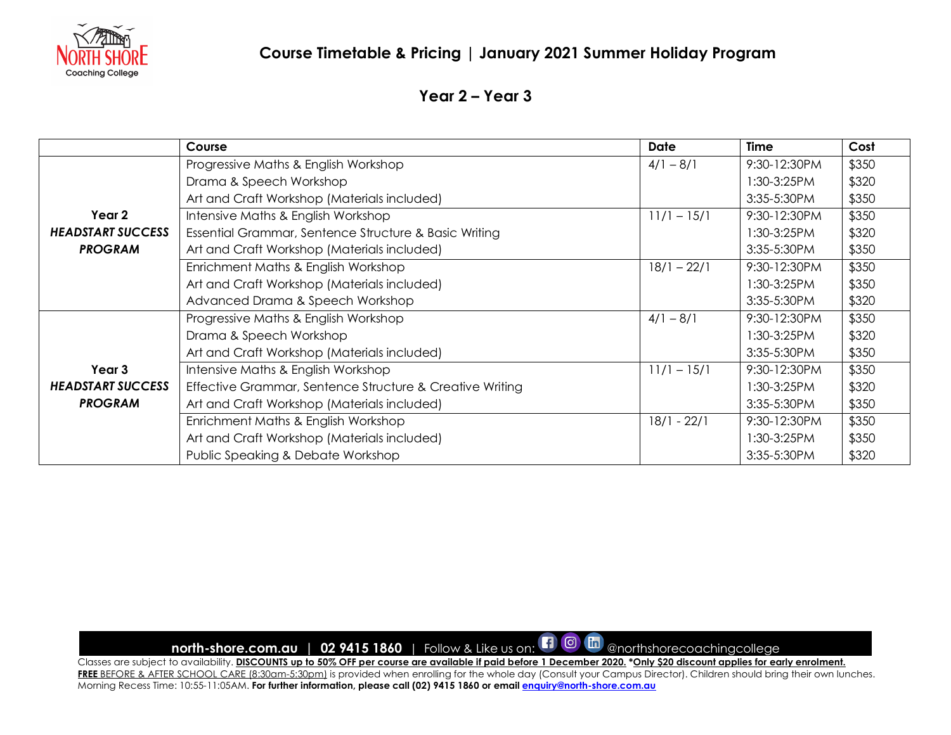

#### **Year 2 – Year 3**

|                                                      | Course                                                   | <b>Date</b>   | <b>Time</b>      | Cost  |
|------------------------------------------------------|----------------------------------------------------------|---------------|------------------|-------|
|                                                      | Progressive Maths & English Workshop                     | $4/1 - 8/1$   | 9:30-12:30PM     | \$350 |
|                                                      | Drama & Speech Workshop                                  |               | $1:30-3:25PM$    | \$320 |
|                                                      | Art and Craft Workshop (Materials included)              |               | 3:35-5:30PM      | \$350 |
| Year 2                                               | Intensive Maths & English Workshop                       | $11/1 - 15/1$ | 9:30-12:30PM     | \$350 |
| <b>HEADSTART SUCCESS</b><br><b>PROGRAM</b>           | Essential Grammar, Sentence Structure & Basic Writing    |               | $1:30-3:25PM$    | \$320 |
|                                                      | Art and Craft Workshop (Materials included)              |               | $3:35-5:30PM$    | \$350 |
|                                                      | Enrichment Maths & English Workshop                      | $18/1 - 22/1$ | 9:30-12:30PM     | \$350 |
|                                                      | Art and Craft Workshop (Materials included)              |               | 1:30-3:25PM      | \$350 |
|                                                      | Advanced Drama & Speech Workshop                         |               | 3:35-5:30PM      | \$320 |
| Year 3<br><b>HEADSTART SUCCESS</b><br><b>PROGRAM</b> | Progressive Maths & English Workshop                     | $4/1 - 8/1$   | 9:30-12:30PM     | \$350 |
|                                                      | Drama & Speech Workshop                                  |               | 1:30-3:25PM      | \$320 |
|                                                      | Art and Craft Workshop (Materials included)              |               | 3:35-5:30PM      | \$350 |
|                                                      | Intensive Maths & English Workshop                       | $11/1 - 15/1$ | 9:30-12:30PM     | \$350 |
|                                                      | Effective Grammar, Sentence Structure & Creative Writing |               | $1:30-3:25PM$    | \$320 |
|                                                      | Art and Craft Workshop (Materials included)              |               | $3:35 - 5:30$ PM | \$350 |
|                                                      | Enrichment Maths & English Workshop                      | $18/1 - 22/1$ | 9:30-12:30PM     | \$350 |
|                                                      | Art and Craft Workshop (Materials included)              |               | 1:30-3:25PM      | \$350 |
|                                                      | Public Speaking & Debate Workshop                        |               | 3:35-5:30PM      | \$320 |

**north-shore.com.au | 02 9415 1860** | Follow & Like us on: **[1 0 canacity and The Properties of the Shores** Coachingcollege

Classes are subject to availability. **DISCOUNTS up to 50% OFF per course are available if paid before 1 December 2020. \*Only \$20 discount applies for early enrolment.**  FREE BEFORE & AFTER SCHOOL CARE (8:30am-5:30pm) is provided when enrolling for the whole day (Consult your Campus Director). Children should bring their own lunches. Morning Recess Time: 10:55-11:05AM. **For further information, please call (02) 9415 1860 or email enquiry@north-shore.com.au**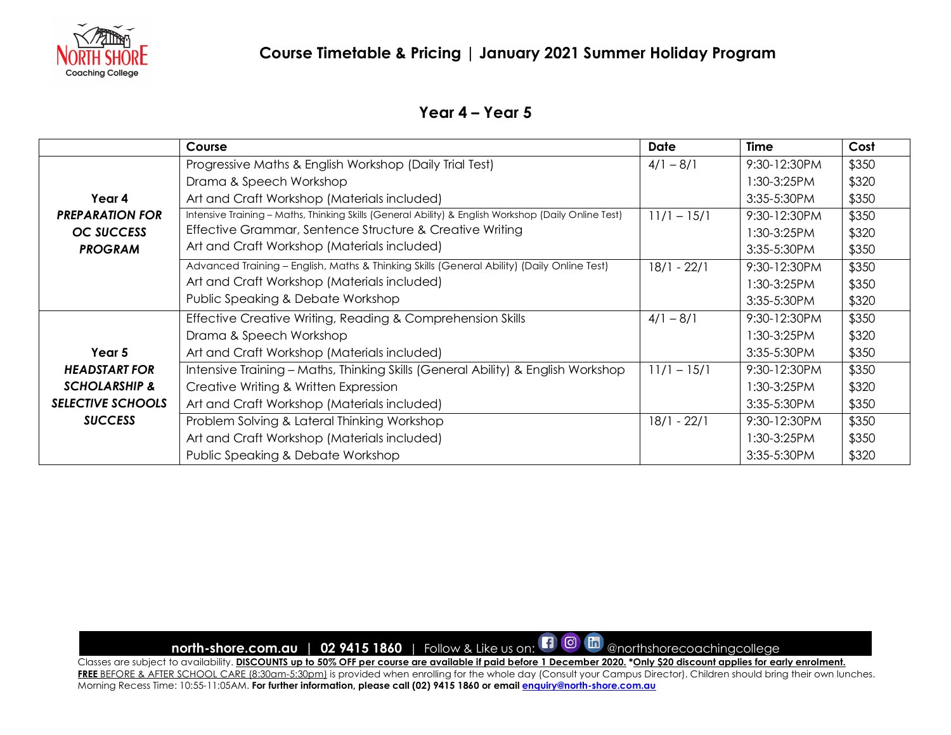

#### **Year 4 – Year 5**

|                                                        | Course                                                                                               | Date          | <b>Time</b>   | Cost  |
|--------------------------------------------------------|------------------------------------------------------------------------------------------------------|---------------|---------------|-------|
|                                                        | Progressive Maths & English Workshop (Daily Trial Test)                                              | $4/1 - 8/1$   | 9:30-12:30PM  | \$350 |
|                                                        | Drama & Speech Workshop                                                                              |               | $1:30-3:25PM$ | \$320 |
| Year 4                                                 | Art and Craft Workshop (Materials included)                                                          |               | $3:35-5:30PM$ | \$350 |
| <b>PREPARATION FOR</b><br>OC SUCCESS<br><b>PROGRAM</b> | Intensive Training - Maths, Thinking Skills (General Ability) & English Workshop (Daily Online Test) | $11/1 - 15/1$ | 9:30-12:30PM  | \$350 |
|                                                        | Effective Grammar, Sentence Structure & Creative Writing                                             |               | $1:30-3:25PM$ | \$320 |
|                                                        | Art and Craft Workshop (Materials included)                                                          |               | $3:35-5:30PM$ | \$350 |
|                                                        | Advanced Training - English, Maths & Thinking Skills (General Ability) (Daily Online Test)           | $18/1 - 22/1$ | 9:30-12:30PM  | \$350 |
|                                                        | Art and Craft Workshop (Materials included)                                                          |               | $1:30-3:25PM$ | \$350 |
|                                                        | Public Speaking & Debate Workshop                                                                    |               | 3:35-5:30PM   | \$320 |
|                                                        | Effective Creative Writing, Reading & Comprehension Skills                                           | $4/1 - 8/1$   | 9:30-12:30PM  | \$350 |
|                                                        | Drama & Speech Workshop                                                                              |               | $1:30-3:25PM$ | \$320 |
| Year 5                                                 | Art and Craft Workshop (Materials included)                                                          |               | $3:35-5:30PM$ | \$350 |
| <b>HEADSTART FOR</b>                                   | Intensive Training - Maths, Thinking Skills (General Ability) & English Workshop                     | $11/1 - 15/1$ | 9:30-12:30PM  | \$350 |
| <b>SCHOLARSHIP &amp;</b>                               | Creative Writing & Written Expression                                                                |               | $1:30-3:25PM$ | \$320 |
| <b>SELECTIVE SCHOOLS</b>                               | Art and Craft Workshop (Materials included)                                                          |               | 3:35-5:30PM   | \$350 |
| <b>SUCCESS</b>                                         | Problem Solving & Lateral Thinking Workshop                                                          | $18/1 - 22/1$ | 9:30-12:30PM  | \$350 |
|                                                        | Art and Craft Workshop (Materials included)                                                          |               | $1:30-3:25PM$ | \$350 |
|                                                        | Public Speaking & Debate Workshop                                                                    |               | 3:35-5:30PM   | \$320 |

**north-shore.com.au | 02 9415 1860** | Follow & Like us on: **[1 0 canacity and The Properties of the Shores** Coachingcollege

Classes are subject to availability. **DISCOUNTS up to 50% OFF per course are available if paid before 1 December 2020. \*Only \$20 discount applies for early enrolment.**  FREE BEFORE & AFTER SCHOOL CARE (8:30am-5:30pm) is provided when enrolling for the whole day (Consult your Campus Director). Children should bring their own lunches. Morning Recess Time: 10:55-11:05AM. **For further information, please call (02) 9415 1860 or email enquiry@north-shore.com.au**